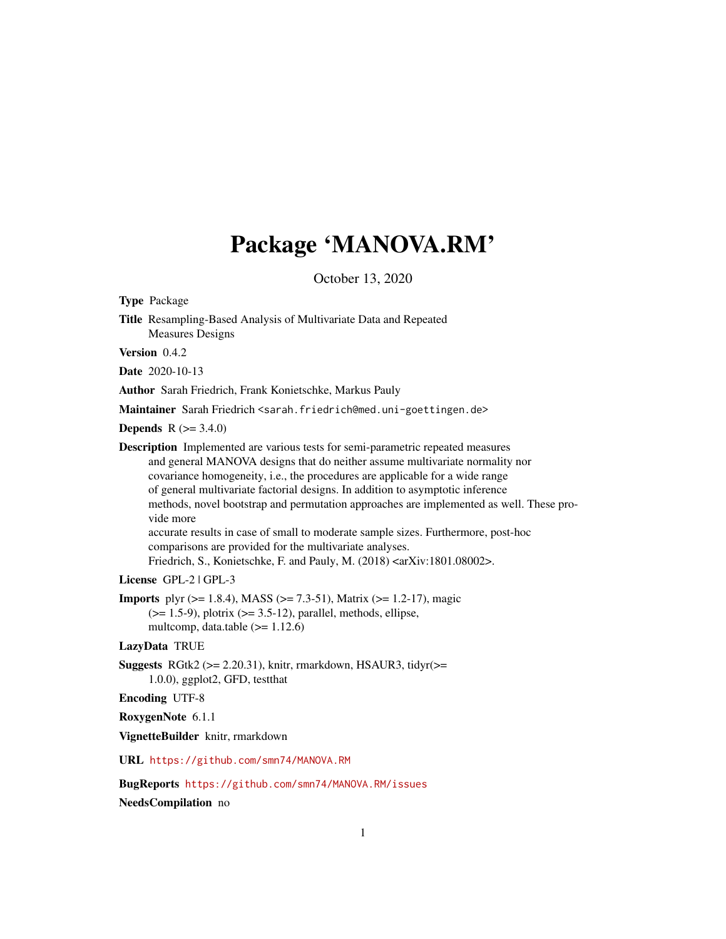# Package 'MANOVA.RM'

<span id="page-0-0"></span>October 13, 2020 Type Package Title Resampling-Based Analysis of Multivariate Data and Repeated Measures Designs Version 0.4.2 Date 2020-10-13 Author Sarah Friedrich, Frank Konietschke, Markus Pauly Maintainer Sarah Friedrich <sarah.friedrich@med.uni-goettingen.de> **Depends**  $R (= 3.4.0)$ Description Implemented are various tests for semi-parametric repeated measures and general MANOVA designs that do neither assume multivariate normality nor covariance homogeneity, i.e., the procedures are applicable for a wide range of general multivariate factorial designs. In addition to asymptotic inference methods, novel bootstrap and permutation approaches are implemented as well. These provide more accurate results in case of small to moderate sample sizes. Furthermore, post-hoc comparisons are provided for the multivariate analyses. Friedrich, S., Konietschke, F. and Pauly, M. (2018) <arXiv:1801.08002>. License GPL-2 | GPL-3 **Imports** plyr ( $>= 1.8.4$ ), MASS ( $>= 7.3-51$ ), Matrix ( $>= 1.2-17$ ), magic  $(>= 1.5-9)$ , plotrix  $(>= 3.5-12)$ , parallel, methods, ellipse, multcomp, data.table (>= 1.12.6) LazyData TRUE Suggests RGtk2 ( $>= 2.20.31$ ), knitr, rmarkdown, HSAUR3, tidyr( $>=$ 1.0.0), ggplot2, GFD, testthat

Encoding UTF-8

RoxygenNote 6.1.1

VignetteBuilder knitr, rmarkdown

URL <https://github.com/smn74/MANOVA.RM>

#### BugReports <https://github.com/smn74/MANOVA.RM/issues>

NeedsCompilation no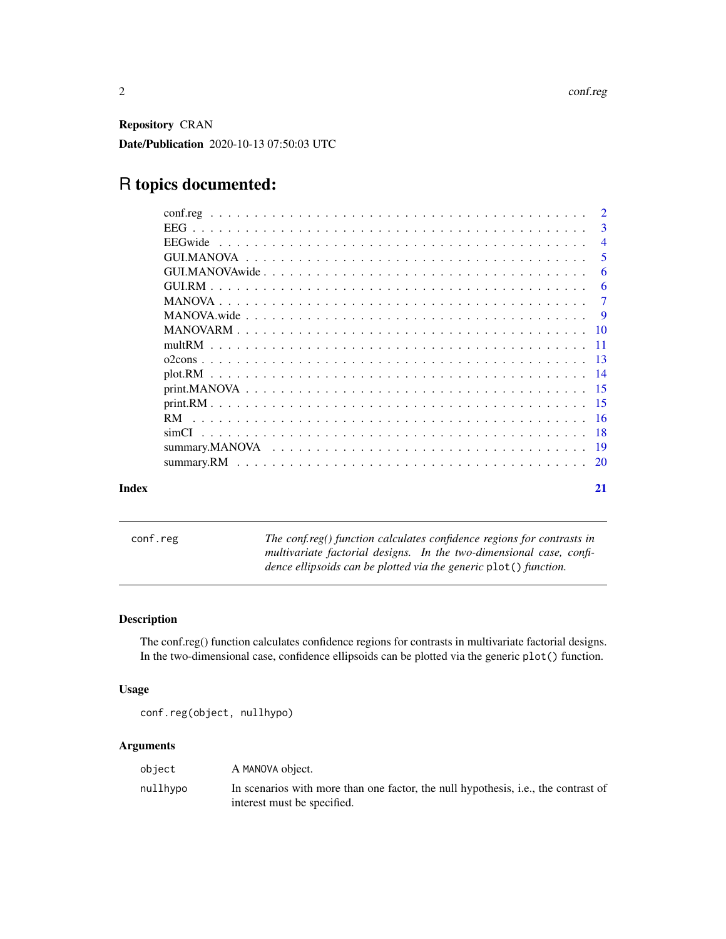<span id="page-1-0"></span>Repository CRAN

Date/Publication 2020-10-13 07:50:03 UTC

# R topics documented:

|       |        | $\overline{2}$ |
|-------|--------|----------------|
|       |        | 3              |
|       |        | $\overline{4}$ |
|       |        | -5             |
|       |        | 6              |
|       |        | 6              |
|       |        | 7              |
|       |        | -9             |
|       |        |                |
|       | multRM |                |
|       |        |                |
|       |        |                |
|       |        |                |
|       |        |                |
|       | RM.    |                |
|       |        |                |
|       |        |                |
|       |        |                |
| Index |        | 21             |

conf.reg *The conf.reg() function calculates confidence regions for contrasts in multivariate factorial designs. In the two-dimensional case, confidence ellipsoids can be plotted via the generic* plot() *function.*

# Description

The conf.reg() function calculates confidence regions for contrasts in multivariate factorial designs. In the two-dimensional case, confidence ellipsoids can be plotted via the generic plot() function.

# Usage

conf.reg(object, nullhypo)

| object   | A MANOVA object.                                                                                                  |
|----------|-------------------------------------------------------------------------------------------------------------------|
| nullhypo | In scenarios with more than one factor, the null hypothesis, i.e., the contrast of<br>interest must be specified. |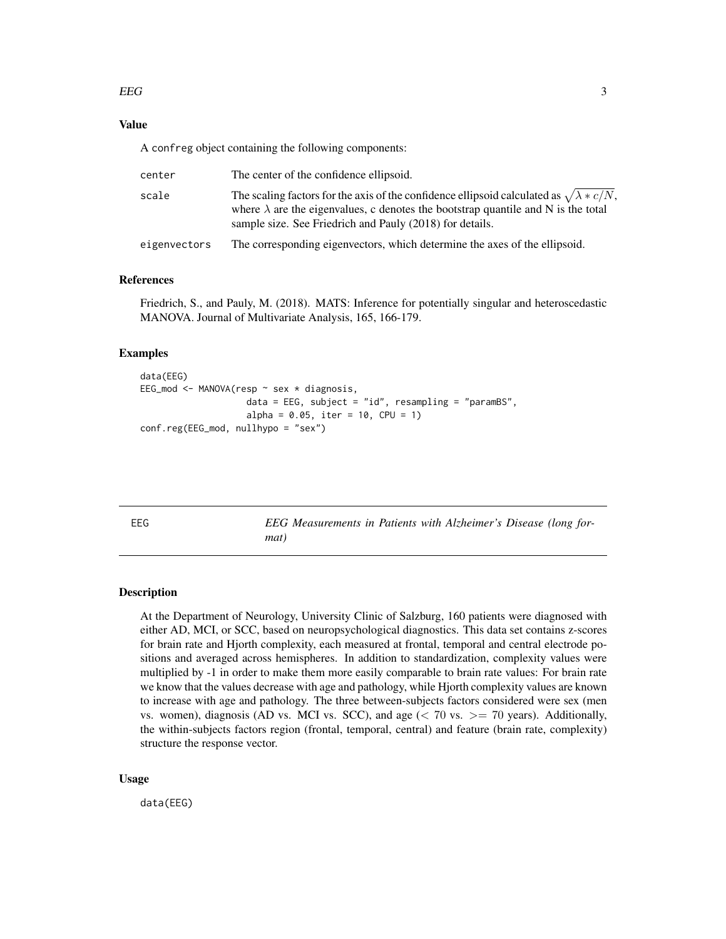### <span id="page-2-0"></span>Value

A confreg object containing the following components:

| center       | The center of the confidence ellipsoid.                                                                                                                                                                                                                     |
|--------------|-------------------------------------------------------------------------------------------------------------------------------------------------------------------------------------------------------------------------------------------------------------|
| scale        | The scaling factors for the axis of the confidence ellipsoid calculated as $\sqrt{\lambda * c/N}$ ,<br>where $\lambda$ are the eigenvalues, c denotes the bootstrap quantile and N is the total<br>sample size. See Friedrich and Pauly (2018) for details. |
| eigenvectors | The corresponding eigenvectors, which determine the axes of the ellipsoid.                                                                                                                                                                                  |

# References

Friedrich, S., and Pauly, M. (2018). MATS: Inference for potentially singular and heteroscedastic MANOVA. Journal of Multivariate Analysis, 165, 166-179.

#### Examples

```
data(EEG)
EEG_mod <- MANOVA(resp ~ sex * diagnosis,
                    data = EEG, subject = "id", resampling = "paramBS",
                    alpha = 0.05, iter = 10, CPU = 1)
conf.reg(EEG_mod, nullhypo = "sex")
```
EEG *EEG Measurements in Patients with Alzheimer's Disease (long format)*

#### Description

At the Department of Neurology, University Clinic of Salzburg, 160 patients were diagnosed with either AD, MCI, or SCC, based on neuropsychological diagnostics. This data set contains z-scores for brain rate and Hjorth complexity, each measured at frontal, temporal and central electrode positions and averaged across hemispheres. In addition to standardization, complexity values were multiplied by -1 in order to make them more easily comparable to brain rate values: For brain rate we know that the values decrease with age and pathology, while Hjorth complexity values are known to increase with age and pathology. The three between-subjects factors considered were sex (men vs. women), diagnosis (AD vs. MCI vs. SCC), and age  $(< 70$  vs.  $>= 70$  years). Additionally, the within-subjects factors region (frontal, temporal, central) and feature (brain rate, complexity) structure the response vector.

#### Usage

data(EEG)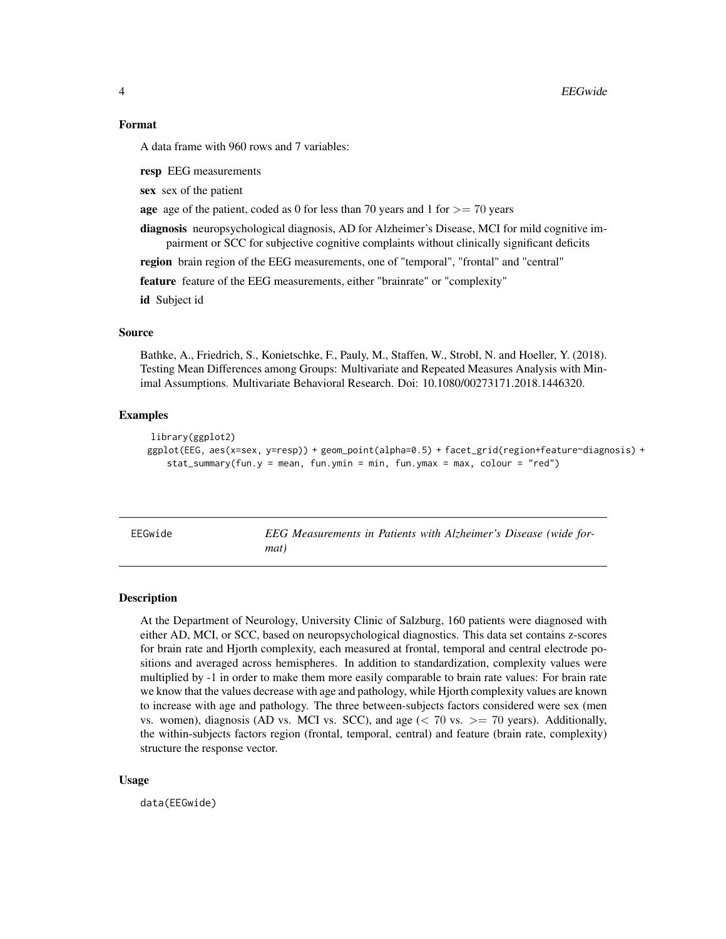<span id="page-3-0"></span>A data frame with 960 rows and 7 variables:

resp EEG measurements

sex sex of the patient

age age of the patient, coded as 0 for less than 70 years and 1 for  $\geq$  70 years

diagnosis neuropsychological diagnosis, AD for Alzheimer's Disease, MCI for mild cognitive impairment or SCC for subjective cognitive complaints without clinically significant deficits

region brain region of the EEG measurements, one of "temporal", "frontal" and "central"

feature feature of the EEG measurements, either "brainrate" or "complexity"

id Subject id

#### Source

Bathke, A., Friedrich, S., Konietschke, F., Pauly, M., Staffen, W., Strobl, N. and Hoeller, Y. (2018). Testing Mean Differences among Groups: Multivariate and Repeated Measures Analysis with Minimal Assumptions. Multivariate Behavioral Research. Doi: 10.1080/00273171.2018.1446320.

#### Examples

```
library(ggplot2)
ggplot(EEG, aes(x=sex, y=resp)) + geom_point(alpha=0.5) + facet_grid(region+feature~diagnosis) +
   stat_summary(fun.y = mean, fun.ymin = min, fun.ymax = max, colour = "red")
```
EEGwide *EEG Measurements in Patients with Alzheimer's Disease (wide format)*

#### Description

At the Department of Neurology, University Clinic of Salzburg, 160 patients were diagnosed with either AD, MCI, or SCC, based on neuropsychological diagnostics. This data set contains z-scores for brain rate and Hjorth complexity, each measured at frontal, temporal and central electrode positions and averaged across hemispheres. In addition to standardization, complexity values were multiplied by -1 in order to make them more easily comparable to brain rate values: For brain rate we know that the values decrease with age and pathology, while Hjorth complexity values are known to increase with age and pathology. The three between-subjects factors considered were sex (men vs. women), diagnosis (AD vs. MCI vs. SCC), and age  $(< 70 \text{ vs. } >= 70 \text{ years})$ . Additionally, the within-subjects factors region (frontal, temporal, central) and feature (brain rate, complexity) structure the response vector.

#### Usage

data(EEGwide)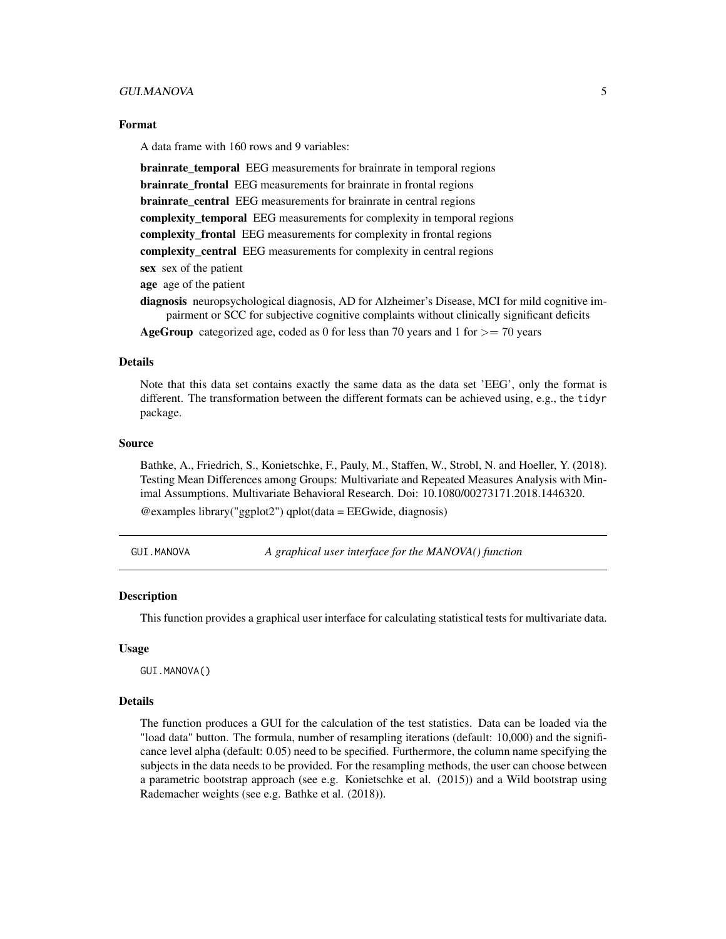# <span id="page-4-0"></span>GUI.MANOVA 5

#### Format

A data frame with 160 rows and 9 variables:

brainrate\_temporal EEG measurements for brainrate in temporal regions brainrate frontal EEG measurements for brainrate in frontal regions brainrate\_central EEG measurements for brainrate in central regions complexity\_temporal EEG measurements for complexity in temporal regions complexity\_frontal EEG measurements for complexity in frontal regions complexity\_central EEG measurements for complexity in central regions sex sex of the patient age age of the patient diagnosis neuropsychological diagnosis, AD for Alzheimer's Disease, MCI for mild cognitive impairment or SCC for subjective cognitive complaints without clinically significant deficits AgeGroup categorized age, coded as 0 for less than 70 years and 1 for  $\geq$  70 years

#### Details

Note that this data set contains exactly the same data as the data set 'EEG', only the format is different. The transformation between the different formats can be achieved using, e.g., the tidyr package.

#### Source

Bathke, A., Friedrich, S., Konietschke, F., Pauly, M., Staffen, W., Strobl, N. and Hoeller, Y. (2018). Testing Mean Differences among Groups: Multivariate and Repeated Measures Analysis with Minimal Assumptions. Multivariate Behavioral Research. Doi: 10.1080/00273171.2018.1446320.

@examples library("ggplot2") qplot(data = EEGwide, diagnosis)

GUI.MANOVA *A graphical user interface for the MANOVA() function*

#### **Description**

This function provides a graphical user interface for calculating statistical tests for multivariate data.

#### Usage

GUI.MANOVA()

#### Details

The function produces a GUI for the calculation of the test statistics. Data can be loaded via the "load data" button. The formula, number of resampling iterations (default: 10,000) and the significance level alpha (default: 0.05) need to be specified. Furthermore, the column name specifying the subjects in the data needs to be provided. For the resampling methods, the user can choose between a parametric bootstrap approach (see e.g. Konietschke et al. (2015)) and a Wild bootstrap using Rademacher weights (see e.g. Bathke et al. (2018)).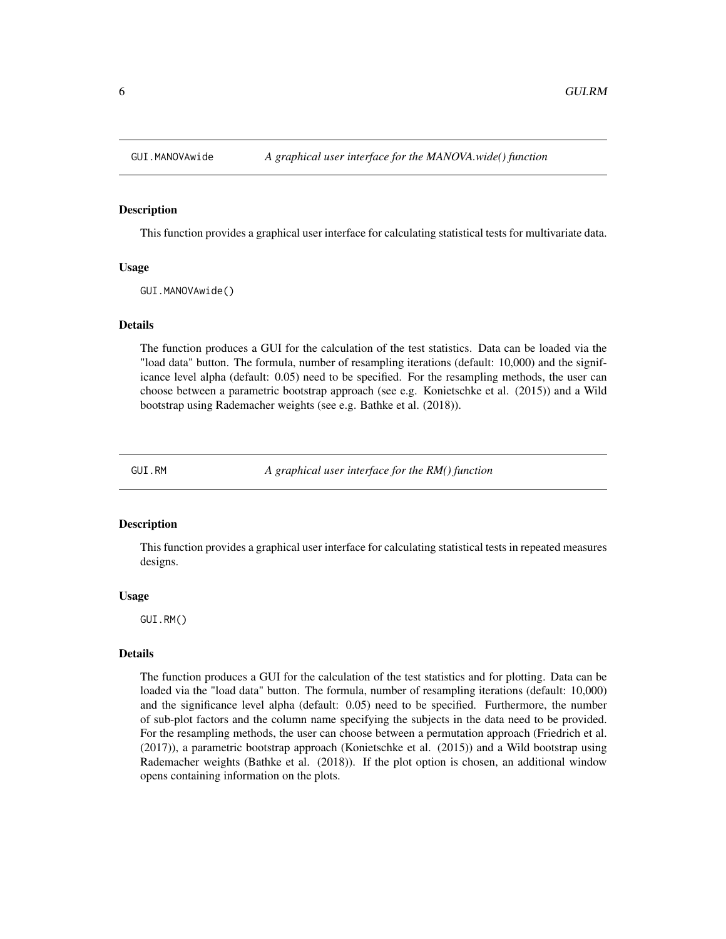<span id="page-5-0"></span>

This function provides a graphical user interface for calculating statistical tests for multivariate data.

#### Usage

GUI.MANOVAwide()

#### Details

The function produces a GUI for the calculation of the test statistics. Data can be loaded via the "load data" button. The formula, number of resampling iterations (default: 10,000) and the significance level alpha (default: 0.05) need to be specified. For the resampling methods, the user can choose between a parametric bootstrap approach (see e.g. Konietschke et al. (2015)) and a Wild bootstrap using Rademacher weights (see e.g. Bathke et al. (2018)).

GUI.RM *A graphical user interface for the RM() function*

#### Description

This function provides a graphical user interface for calculating statistical tests in repeated measures designs.

#### Usage

GUI.RM()

#### Details

The function produces a GUI for the calculation of the test statistics and for plotting. Data can be loaded via the "load data" button. The formula, number of resampling iterations (default: 10,000) and the significance level alpha (default: 0.05) need to be specified. Furthermore, the number of sub-plot factors and the column name specifying the subjects in the data need to be provided. For the resampling methods, the user can choose between a permutation approach (Friedrich et al. (2017)), a parametric bootstrap approach (Konietschke et al. (2015)) and a Wild bootstrap using Rademacher weights (Bathke et al. (2018)). If the plot option is chosen, an additional window opens containing information on the plots.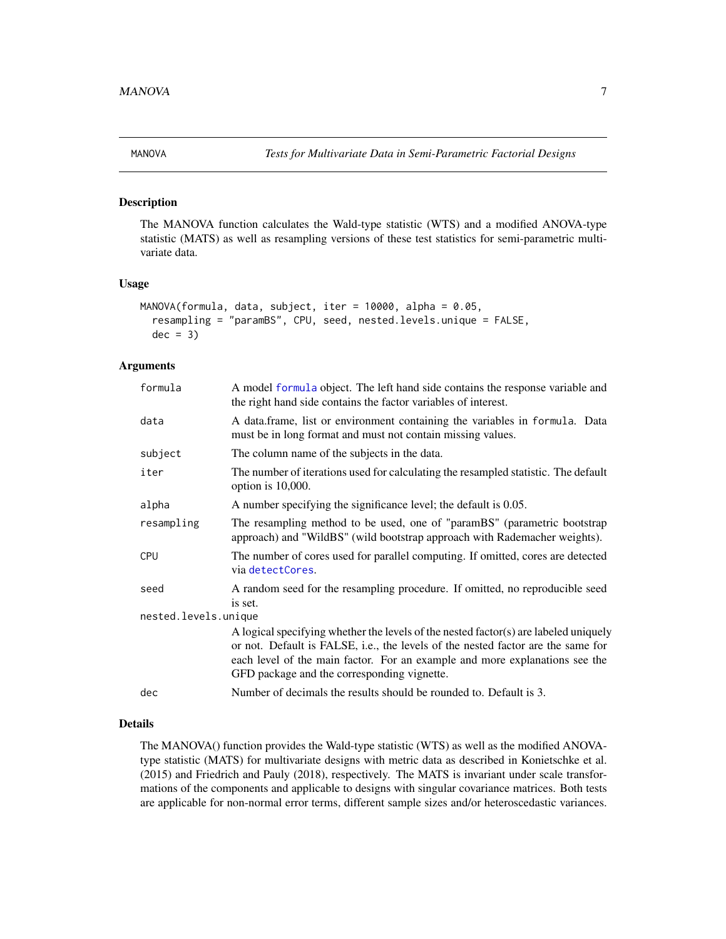<span id="page-6-1"></span><span id="page-6-0"></span>

The MANOVA function calculates the Wald-type statistic (WTS) and a modified ANOVA-type statistic (MATS) as well as resampling versions of these test statistics for semi-parametric multivariate data.

#### Usage

```
MANOVA(formula, data, subject, iter = 10000, alpha = 0.05,
  resampling = "paramBS", CPU, seed, nested.levels.unique = FALSE,
  dec = 3)
```
#### Arguments

| formula              | A model formula object. The left hand side contains the response variable and<br>the right hand side contains the factor variables of interest.                                                                                                                                                        |  |
|----------------------|--------------------------------------------------------------------------------------------------------------------------------------------------------------------------------------------------------------------------------------------------------------------------------------------------------|--|
| data                 | A data frame, list or environment containing the variables in formula. Data<br>must be in long format and must not contain missing values.                                                                                                                                                             |  |
| subject              | The column name of the subjects in the data.                                                                                                                                                                                                                                                           |  |
| iter                 | The number of iterations used for calculating the resampled statistic. The default<br>option is $10,000$ .                                                                                                                                                                                             |  |
| alpha                | A number specifying the significance level; the default is 0.05.                                                                                                                                                                                                                                       |  |
| resampling           | The resampling method to be used, one of "paramBS" (parametric bootstrap<br>approach) and "WildBS" (wild bootstrap approach with Rademacher weights).                                                                                                                                                  |  |
| <b>CPU</b>           | The number of cores used for parallel computing. If omitted, cores are detected<br>via detectCores.                                                                                                                                                                                                    |  |
| seed                 | A random seed for the resampling procedure. If omitted, no reproducible seed<br>is set.                                                                                                                                                                                                                |  |
| nested.levels.unique |                                                                                                                                                                                                                                                                                                        |  |
|                      | A logical specifying whether the levels of the nested factor(s) are labeled uniquely<br>or not. Default is FALSE, i.e., the levels of the nested factor are the same for<br>each level of the main factor. For an example and more explanations see the<br>GFD package and the corresponding vignette. |  |
| dec                  | Number of decimals the results should be rounded to. Default is 3.                                                                                                                                                                                                                                     |  |

## Details

The MANOVA() function provides the Wald-type statistic (WTS) as well as the modified ANOVAtype statistic (MATS) for multivariate designs with metric data as described in Konietschke et al. (2015) and Friedrich and Pauly (2018), respectively. The MATS is invariant under scale transformations of the components and applicable to designs with singular covariance matrices. Both tests are applicable for non-normal error terms, different sample sizes and/or heteroscedastic variances.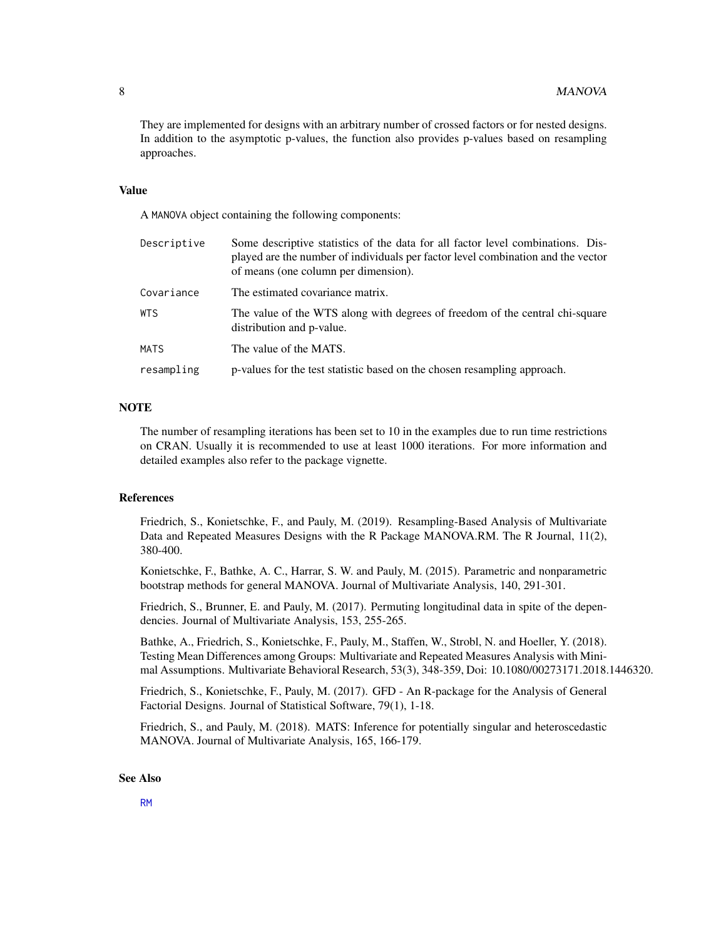<span id="page-7-0"></span>They are implemented for designs with an arbitrary number of crossed factors or for nested designs. In addition to the asymptotic p-values, the function also provides p-values based on resampling approaches.

#### Value

A MANOVA object containing the following components:

| Descriptive | Some descriptive statistics of the data for all factor level combinations. Dis-<br>played are the number of individuals per factor level combination and the vector<br>of means (one column per dimension). |
|-------------|-------------------------------------------------------------------------------------------------------------------------------------------------------------------------------------------------------------|
| Covariance  | The estimated covariance matrix.                                                                                                                                                                            |
| <b>WTS</b>  | The value of the WTS along with degrees of freedom of the central chi-square<br>distribution and p-value.                                                                                                   |
| <b>MATS</b> | The value of the MATS.                                                                                                                                                                                      |
| resampling  | p-values for the test statistic based on the chosen resampling approach.                                                                                                                                    |

# **NOTE**

The number of resampling iterations has been set to 10 in the examples due to run time restrictions on CRAN. Usually it is recommended to use at least 1000 iterations. For more information and detailed examples also refer to the package vignette.

#### References

Friedrich, S., Konietschke, F., and Pauly, M. (2019). Resampling-Based Analysis of Multivariate Data and Repeated Measures Designs with the R Package MANOVA.RM. The R Journal, 11(2), 380-400.

Konietschke, F., Bathke, A. C., Harrar, S. W. and Pauly, M. (2015). Parametric and nonparametric bootstrap methods for general MANOVA. Journal of Multivariate Analysis, 140, 291-301.

Friedrich, S., Brunner, E. and Pauly, M. (2017). Permuting longitudinal data in spite of the dependencies. Journal of Multivariate Analysis, 153, 255-265.

Bathke, A., Friedrich, S., Konietschke, F., Pauly, M., Staffen, W., Strobl, N. and Hoeller, Y. (2018). Testing Mean Differences among Groups: Multivariate and Repeated Measures Analysis with Minimal Assumptions. Multivariate Behavioral Research, 53(3), 348-359, Doi: 10.1080/00273171.2018.1446320.

Friedrich, S., Konietschke, F., Pauly, M. (2017). GFD - An R-package for the Analysis of General Factorial Designs. Journal of Statistical Software, 79(1), 1-18.

Friedrich, S., and Pauly, M. (2018). MATS: Inference for potentially singular and heteroscedastic MANOVA. Journal of Multivariate Analysis, 165, 166-179.

See Also

[RM](#page-15-1)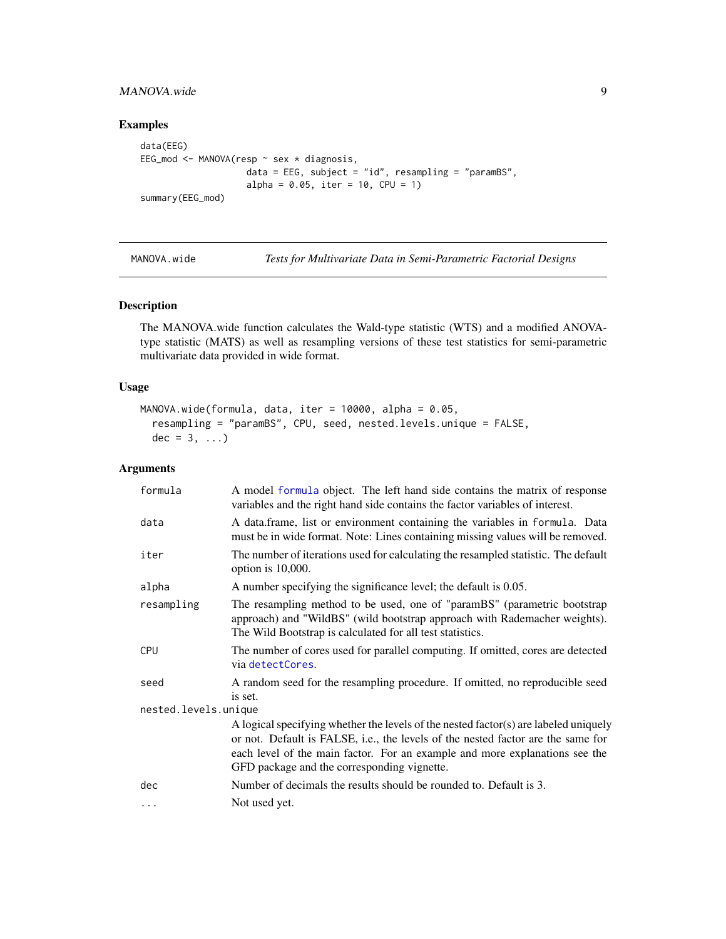# <span id="page-8-0"></span>MANOVA.wide 9

## Examples

```
data(EEG)
EEG_mod <- MANOVA(resp ~ sex * diagnosis,
                   data = EEG, subject = "id", resampling = "params",alpha = 0.05, iter = 10, CPU = 1)
summary(EEG_mod)
```
MANOVA.wide *Tests for Multivariate Data in Semi-Parametric Factorial Designs*

# Description

The MANOVA.wide function calculates the Wald-type statistic (WTS) and a modified ANOVAtype statistic (MATS) as well as resampling versions of these test statistics for semi-parametric multivariate data provided in wide format.

## Usage

```
MANOVA.wide(formula, data, iter = 10000, alpha = 0.05,
  resampling = "paramBS", CPU, seed, nested.levels.unique = FALSE,
  dec = 3, \ldots)
```

| formula              | A model formula object. The left hand side contains the matrix of response<br>variables and the right hand side contains the factor variables of interest.                                                                                                                                             |  |
|----------------------|--------------------------------------------------------------------------------------------------------------------------------------------------------------------------------------------------------------------------------------------------------------------------------------------------------|--|
| data                 | A data.frame, list or environment containing the variables in formula. Data<br>must be in wide format. Note: Lines containing missing values will be removed.                                                                                                                                          |  |
| iter                 | The number of iterations used for calculating the resampled statistic. The default<br>option is $10,000$ .                                                                                                                                                                                             |  |
| alpha                | A number specifying the significance level; the default is 0.05.                                                                                                                                                                                                                                       |  |
| resampling           | The resampling method to be used, one of "paramBS" (parametric bootstrap<br>approach) and "WildBS" (wild bootstrap approach with Rademacher weights).<br>The Wild Bootstrap is calculated for all test statistics.                                                                                     |  |
| <b>CPU</b>           | The number of cores used for parallel computing. If omitted, cores are detected<br>via detectCores.                                                                                                                                                                                                    |  |
| seed                 | A random seed for the resampling procedure. If omitted, no reproducible seed<br>is set.                                                                                                                                                                                                                |  |
| nested.levels.unique |                                                                                                                                                                                                                                                                                                        |  |
|                      | A logical specifying whether the levels of the nested factor(s) are labeled uniquely<br>or not. Default is FALSE, i.e., the levels of the nested factor are the same for<br>each level of the main factor. For an example and more explanations see the<br>GFD package and the corresponding vignette. |  |
| dec                  | Number of decimals the results should be rounded to. Default is 3.                                                                                                                                                                                                                                     |  |
| $\cdots$             | Not used yet.                                                                                                                                                                                                                                                                                          |  |
|                      |                                                                                                                                                                                                                                                                                                        |  |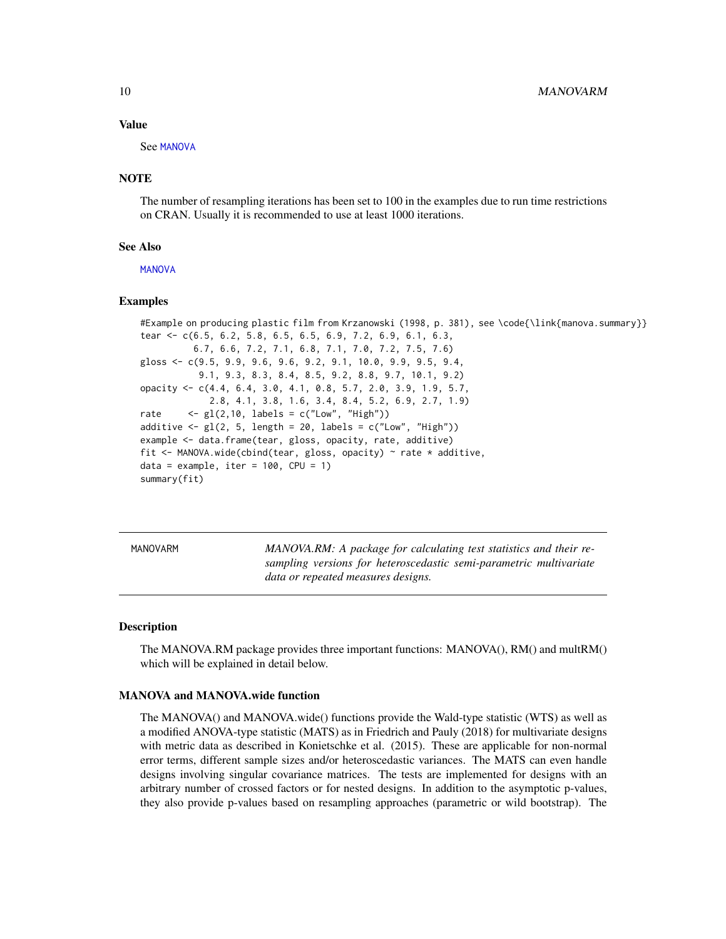#### Value

See [MANOVA](#page-6-1)

#### **NOTE**

The number of resampling iterations has been set to 100 in the examples due to run time restrictions on CRAN. Usually it is recommended to use at least 1000 iterations.

#### See Also

**[MANOVA](#page-6-1)** 

#### Examples

```
#Example on producing plastic film from Krzanowski (1998, p. 381), see \code{\link{manova.summary}}
tear <- c(6.5, 6.2, 5.8, 6.5, 6.5, 6.9, 7.2, 6.9, 6.1, 6.3,
          6.7, 6.6, 7.2, 7.1, 6.8, 7.1, 7.0, 7.2, 7.5, 7.6)
gloss <- c(9.5, 9.9, 9.6, 9.6, 9.2, 9.1, 10.0, 9.9, 9.5, 9.4,
           9.1, 9.3, 8.3, 8.4, 8.5, 9.2, 8.8, 9.7, 10.1, 9.2)
opacity <- c(4.4, 6.4, 3.0, 4.1, 0.8, 5.7, 2.0, 3.9, 1.9, 5.7,
             2.8, 4.1, 3.8, 1.6, 3.4, 8.4, 5.2, 6.9, 2.7, 1.9)
rate \langle -g1(2,10, \text{ labels} = c("Low", "High"))additive \leftarrow gl(2, 5, length = 20, labels = c("Low", "High"))
example <- data.frame(tear, gloss, opacity, rate, additive)
fit <- MANOVA.wide(cbind(tear, gloss, opacity) ~ rate * additive,
data = example, iter = 100, CPU = 1)
summary(fit)
```
MANOVARM *MANOVA.RM: A package for calculating test statistics and their resampling versions for heteroscedastic semi-parametric multivariate data or repeated measures designs.*

# **Description**

The MANOVA.RM package provides three important functions: MANOVA(), RM() and multRM() which will be explained in detail below.

#### MANOVA and MANOVA.wide function

The MANOVA() and MANOVA.wide() functions provide the Wald-type statistic (WTS) as well as a modified ANOVA-type statistic (MATS) as in Friedrich and Pauly (2018) for multivariate designs with metric data as described in Konietschke et al. (2015). These are applicable for non-normal error terms, different sample sizes and/or heteroscedastic variances. The MATS can even handle designs involving singular covariance matrices. The tests are implemented for designs with an arbitrary number of crossed factors or for nested designs. In addition to the asymptotic p-values, they also provide p-values based on resampling approaches (parametric or wild bootstrap). The

<span id="page-9-0"></span>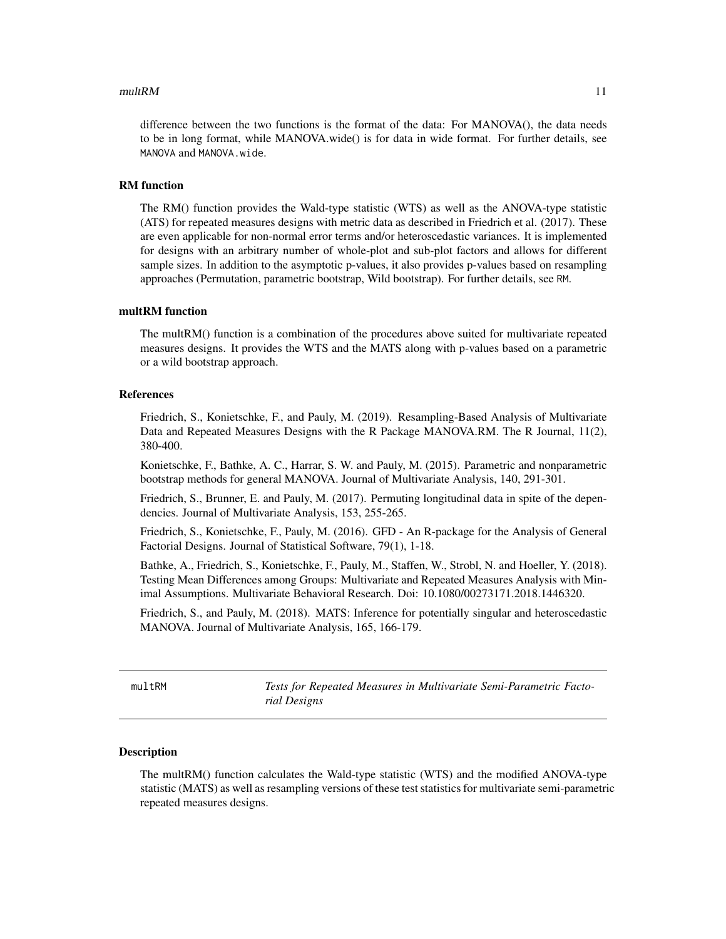#### <span id="page-10-0"></span> $m$ ult $RM$  11

difference between the two functions is the format of the data: For MANOVA(), the data needs to be in long format, while MANOVA.wide() is for data in wide format. For further details, see MANOVA and MANOVA.wide.

### RM function

The RM() function provides the Wald-type statistic (WTS) as well as the ANOVA-type statistic (ATS) for repeated measures designs with metric data as described in Friedrich et al. (2017). These are even applicable for non-normal error terms and/or heteroscedastic variances. It is implemented for designs with an arbitrary number of whole-plot and sub-plot factors and allows for different sample sizes. In addition to the asymptotic p-values, it also provides p-values based on resampling approaches (Permutation, parametric bootstrap, Wild bootstrap). For further details, see RM.

# multRM function

The multRM() function is a combination of the procedures above suited for multivariate repeated measures designs. It provides the WTS and the MATS along with p-values based on a parametric or a wild bootstrap approach.

#### References

Friedrich, S., Konietschke, F., and Pauly, M. (2019). Resampling-Based Analysis of Multivariate Data and Repeated Measures Designs with the R Package MANOVA.RM. The R Journal, 11(2), 380-400.

Konietschke, F., Bathke, A. C., Harrar, S. W. and Pauly, M. (2015). Parametric and nonparametric bootstrap methods for general MANOVA. Journal of Multivariate Analysis, 140, 291-301.

Friedrich, S., Brunner, E. and Pauly, M. (2017). Permuting longitudinal data in spite of the dependencies. Journal of Multivariate Analysis, 153, 255-265.

Friedrich, S., Konietschke, F., Pauly, M. (2016). GFD - An R-package for the Analysis of General Factorial Designs. Journal of Statistical Software, 79(1), 1-18.

Bathke, A., Friedrich, S., Konietschke, F., Pauly, M., Staffen, W., Strobl, N. and Hoeller, Y. (2018). Testing Mean Differences among Groups: Multivariate and Repeated Measures Analysis with Minimal Assumptions. Multivariate Behavioral Research. Doi: 10.1080/00273171.2018.1446320.

Friedrich, S., and Pauly, M. (2018). MATS: Inference for potentially singular and heteroscedastic MANOVA. Journal of Multivariate Analysis, 165, 166-179.

multRM *Tests for Repeated Measures in Multivariate Semi-Parametric Factorial Designs*

#### **Description**

The multRM() function calculates the Wald-type statistic (WTS) and the modified ANOVA-type statistic (MATS) as well as resampling versions of these test statistics for multivariate semi-parametric repeated measures designs.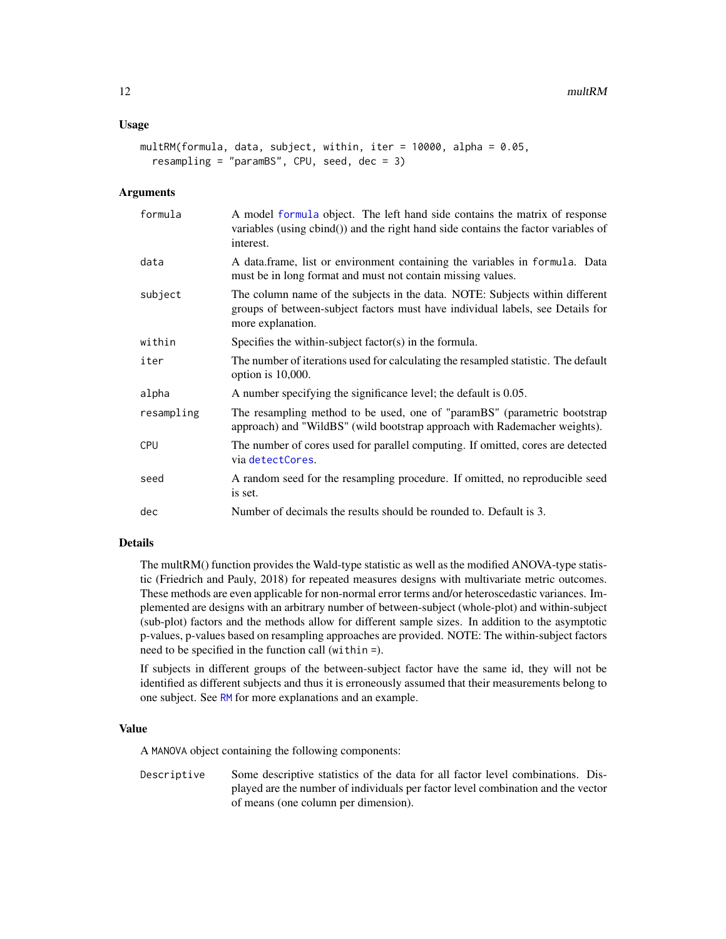#### <span id="page-11-0"></span>Usage

```
multRM(formula, data, subject, within, iter = 10000, alpha = 0.05,
  resampling = "paramBS", CPU, seed, dec = 3)
```
#### Arguments

| formula    | A model formula object. The left hand side contains the matrix of response<br>variables (using cbind()) and the right hand side contains the factor variables of<br>interest.       |
|------------|-------------------------------------------------------------------------------------------------------------------------------------------------------------------------------------|
| data       | A data.frame, list or environment containing the variables in formula. Data<br>must be in long format and must not contain missing values.                                          |
| subject    | The column name of the subjects in the data. NOTE: Subjects within different<br>groups of between-subject factors must have individual labels, see Details for<br>more explanation. |
| within     | Specifies the within-subject factor(s) in the formula.                                                                                                                              |
| iter       | The number of iterations used for calculating the resampled statistic. The default<br>option is $10,000$ .                                                                          |
| alpha      | A number specifying the significance level; the default is 0.05.                                                                                                                    |
| resampling | The resampling method to be used, one of "paramBS" (parametric bootstrap<br>approach) and "WildBS" (wild bootstrap approach with Rademacher weights).                               |
| <b>CPU</b> | The number of cores used for parallel computing. If omitted, cores are detected<br>via detectCores.                                                                                 |
| seed       | A random seed for the resampling procedure. If omitted, no reproducible seed<br>is set.                                                                                             |
| dec        | Number of decimals the results should be rounded to. Default is 3.                                                                                                                  |

#### Details

The multRM() function provides the Wald-type statistic as well as the modified ANOVA-type statistic (Friedrich and Pauly, 2018) for repeated measures designs with multivariate metric outcomes. These methods are even applicable for non-normal error terms and/or heteroscedastic variances. Implemented are designs with an arbitrary number of between-subject (whole-plot) and within-subject (sub-plot) factors and the methods allow for different sample sizes. In addition to the asymptotic p-values, p-values based on resampling approaches are provided. NOTE: The within-subject factors need to be specified in the function call (within =).

If subjects in different groups of the between-subject factor have the same id, they will not be identified as different subjects and thus it is erroneously assumed that their measurements belong to one subject. See [RM](#page-15-1) for more explanations and an example.

#### Value

A MANOVA object containing the following components:

Descriptive Some descriptive statistics of the data for all factor level combinations. Displayed are the number of individuals per factor level combination and the vector of means (one column per dimension).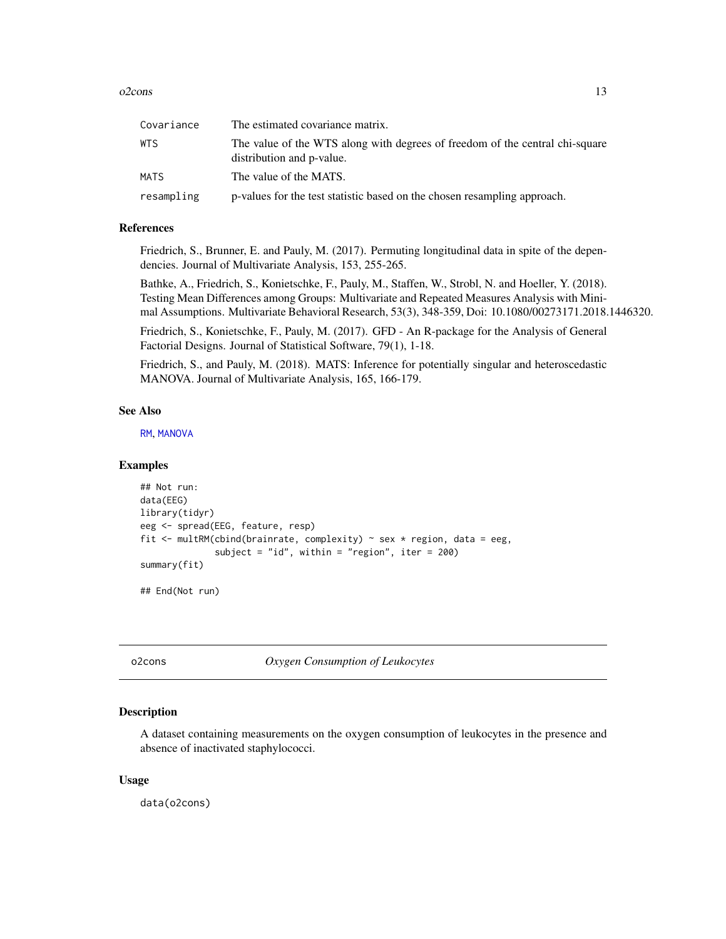#### <span id="page-12-0"></span> $o2cons$   $13$

| Covariance  | The estimated covariance matrix.                                                                          |
|-------------|-----------------------------------------------------------------------------------------------------------|
| <b>WTS</b>  | The value of the WTS along with degrees of freedom of the central chi-square<br>distribution and p-value. |
| <b>MATS</b> | The value of the MATS.                                                                                    |
| resampling  | p-values for the test statistic based on the chosen resampling approach.                                  |

# References

Friedrich, S., Brunner, E. and Pauly, M. (2017). Permuting longitudinal data in spite of the dependencies. Journal of Multivariate Analysis, 153, 255-265.

Bathke, A., Friedrich, S., Konietschke, F., Pauly, M., Staffen, W., Strobl, N. and Hoeller, Y. (2018). Testing Mean Differences among Groups: Multivariate and Repeated Measures Analysis with Minimal Assumptions. Multivariate Behavioral Research, 53(3), 348-359, Doi: 10.1080/00273171.2018.1446320.

Friedrich, S., Konietschke, F., Pauly, M. (2017). GFD - An R-package for the Analysis of General Factorial Designs. Journal of Statistical Software, 79(1), 1-18.

Friedrich, S., and Pauly, M. (2018). MATS: Inference for potentially singular and heteroscedastic MANOVA. Journal of Multivariate Analysis, 165, 166-179.

# See Also

[RM](#page-15-1), [MANOVA](#page-6-1)

#### Examples

```
## Not run:
data(EEG)
library(tidyr)
eeg <- spread(EEG, feature, resp)
fit <- multRM(cbind(brainrate, complexity) ~ sex * region, data = eeg,
              subject = "id", within = "region", iter = 200)
summary(fit)
```
## End(Not run)

o2cons *Oxygen Consumption of Leukocytes*

#### **Description**

A dataset containing measurements on the oxygen consumption of leukocytes in the presence and absence of inactivated staphylococci.

#### Usage

data(o2cons)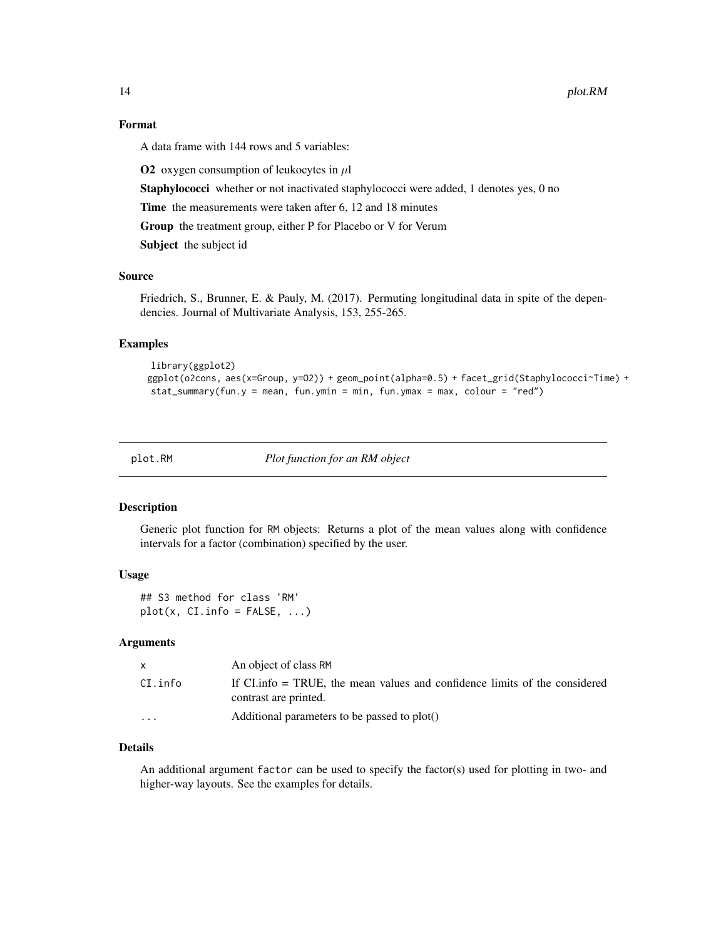# <span id="page-13-0"></span>Format

A data frame with 144 rows and 5 variables:

**O2** oxygen consumption of leukocytes in  $\mu$ l

Staphylococci whether or not inactivated staphylococci were added, 1 denotes yes, 0 no

Time the measurements were taken after 6, 12 and 18 minutes

Group the treatment group, either P for Placebo or V for Verum

Subject the subject id

#### Source

Friedrich, S., Brunner, E. & Pauly, M. (2017). Permuting longitudinal data in spite of the dependencies. Journal of Multivariate Analysis, 153, 255-265.

#### Examples

```
library(ggplot2)
ggplot(o2cons, aes(x=Group, y=O2)) + geom_point(alpha=0.5) + facet_grid(Staphylococci~Time) +
stat_summary(fun.y = mean, fun.ymin = min, fun.ymax = max, colour = "red")
```
plot.RM *Plot function for an RM object*

# Description

Generic plot function for RM objects: Returns a plot of the mean values along with confidence intervals for a factor (combination) specified by the user.

### Usage

```
## S3 method for class 'RM'
plot(x, CI.info = FALSE, ...)
```
#### Arguments

|          | An object of class RM                                                                                |
|----------|------------------------------------------------------------------------------------------------------|
| CI.info  | If Cl. info = TRUE, the mean values and confidence limits of the considered<br>contrast are printed. |
| $\cdots$ | Additional parameters to be passed to plot()                                                         |

#### Details

An additional argument factor can be used to specify the factor(s) used for plotting in two- and higher-way layouts. See the examples for details.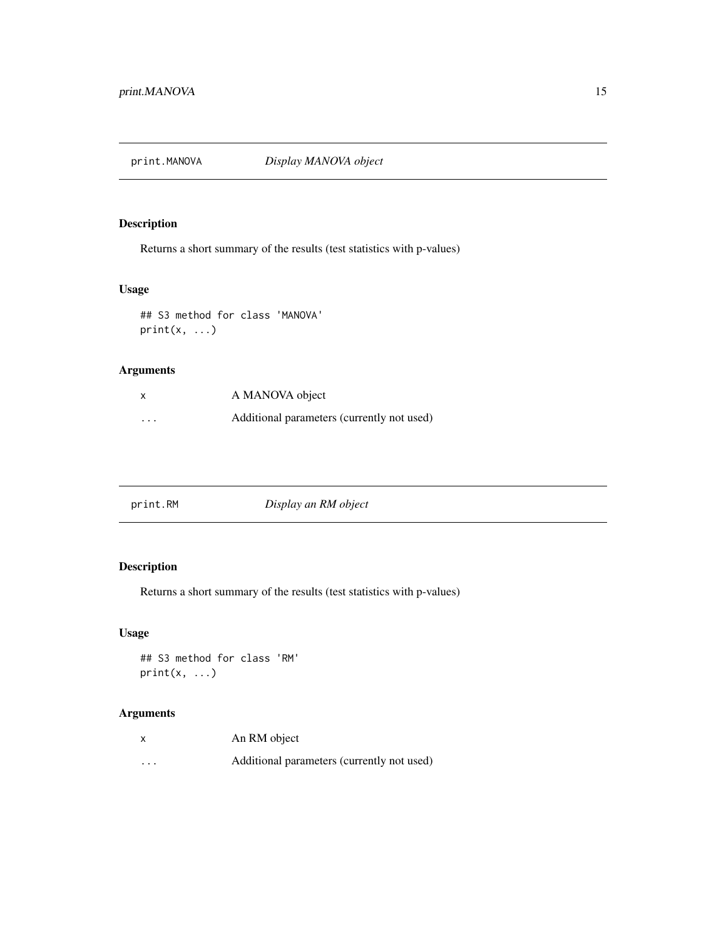<span id="page-14-0"></span>

Returns a short summary of the results (test statistics with p-values)

# Usage

```
## S3 method for class 'MANOVA'
print(x, \ldots)
```
# Arguments

| X                       | A MANOVA object                            |
|-------------------------|--------------------------------------------|
| $\cdot$ $\cdot$ $\cdot$ | Additional parameters (currently not used) |

| print.RM | Display an RM object |  |
|----------|----------------------|--|
|          |                      |  |

# Description

Returns a short summary of the results (test statistics with p-values)

# Usage

```
## S3 method for class 'RM'
print(x, \ldots)
```

| $\boldsymbol{\mathsf{x}}$ | An RM object                               |
|---------------------------|--------------------------------------------|
| $\cdots$                  | Additional parameters (currently not used) |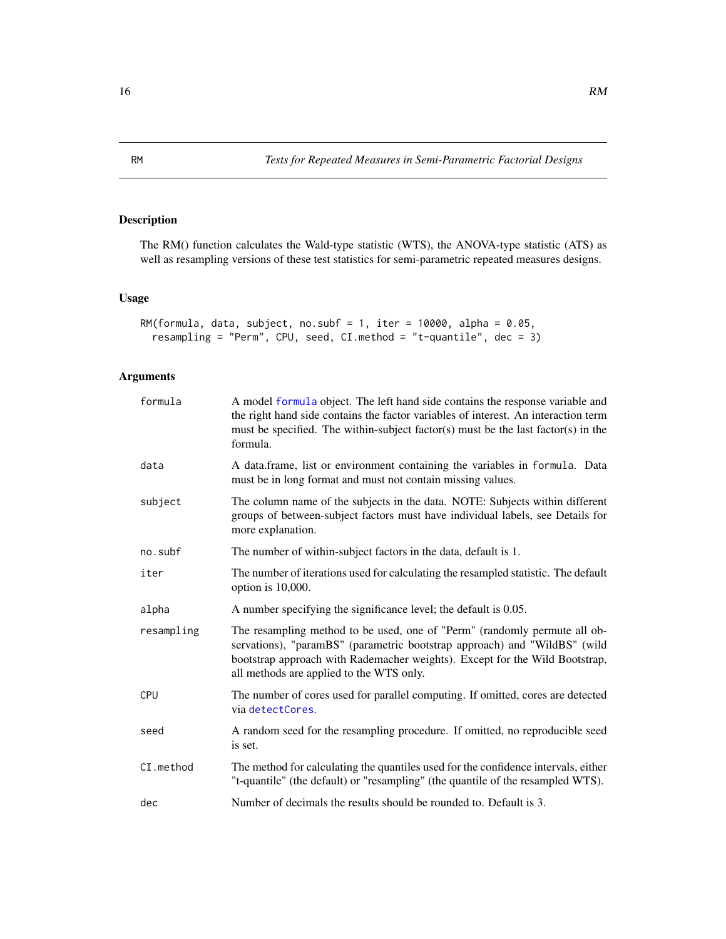<span id="page-15-1"></span><span id="page-15-0"></span>The RM() function calculates the Wald-type statistic (WTS), the ANOVA-type statistic (ATS) as well as resampling versions of these test statistics for semi-parametric repeated measures designs.

# Usage

```
RM(formula, data, subject, no.subf = 1, iter = 10000, alpha = 0.05,
 resampling = "Perm", CPU, seed, CI.method = "t-quantile", dec = 3)
```

| formula    | A model formula object. The left hand side contains the response variable and<br>the right hand side contains the factor variables of interest. An interaction term<br>must be specified. The within-subject factor(s) must be the last factor(s) in the<br>formula.              |
|------------|-----------------------------------------------------------------------------------------------------------------------------------------------------------------------------------------------------------------------------------------------------------------------------------|
| data       | A data.frame, list or environment containing the variables in formula. Data<br>must be in long format and must not contain missing values.                                                                                                                                        |
| subject    | The column name of the subjects in the data. NOTE: Subjects within different<br>groups of between-subject factors must have individual labels, see Details for<br>more explanation.                                                                                               |
| no.subf    | The number of within-subject factors in the data, default is 1.                                                                                                                                                                                                                   |
| iter       | The number of iterations used for calculating the resampled statistic. The default<br>option is 10,000.                                                                                                                                                                           |
| alpha      | A number specifying the significance level; the default is 0.05.                                                                                                                                                                                                                  |
| resampling | The resampling method to be used, one of "Perm" (randomly permute all ob-<br>servations), "paramBS" (parametric bootstrap approach) and "WildBS" (wild<br>bootstrap approach with Rademacher weights). Except for the Wild Bootstrap,<br>all methods are applied to the WTS only. |
| CPU        | The number of cores used for parallel computing. If omitted, cores are detected<br>via detectCores.                                                                                                                                                                               |
| seed       | A random seed for the resampling procedure. If omitted, no reproducible seed<br>is set.                                                                                                                                                                                           |
| CI.method  | The method for calculating the quantiles used for the confidence intervals, either<br>"t-quantile" (the default) or "resampling" (the quantile of the resampled WTS).                                                                                                             |
| dec        | Number of decimals the results should be rounded to. Default is 3.                                                                                                                                                                                                                |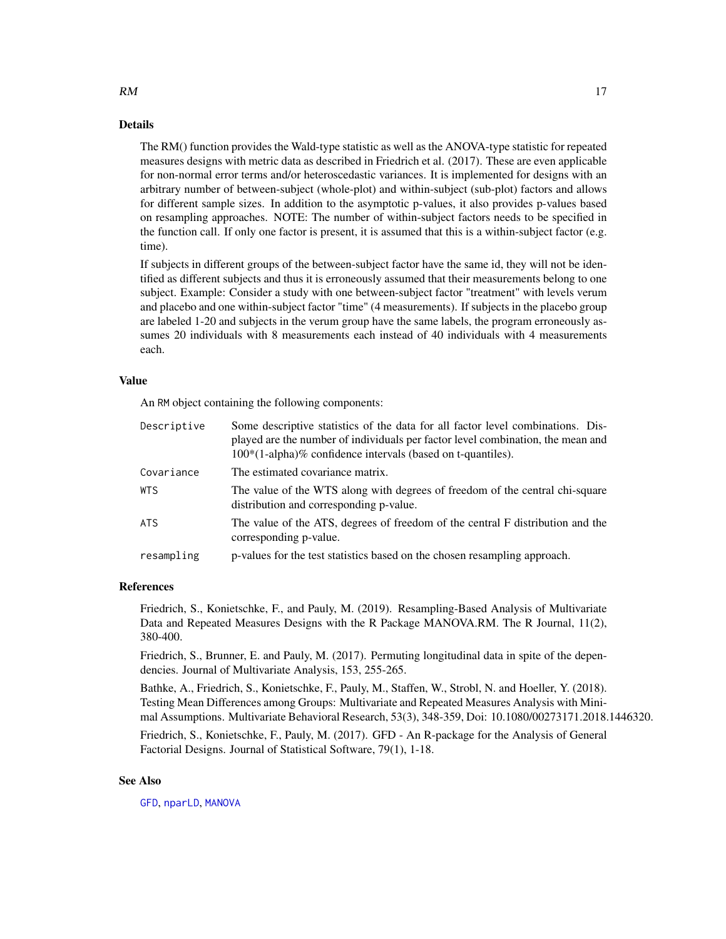#### Details

The RM() function provides the Wald-type statistic as well as the ANOVA-type statistic for repeated measures designs with metric data as described in Friedrich et al. (2017). These are even applicable for non-normal error terms and/or heteroscedastic variances. It is implemented for designs with an arbitrary number of between-subject (whole-plot) and within-subject (sub-plot) factors and allows for different sample sizes. In addition to the asymptotic p-values, it also provides p-values based on resampling approaches. NOTE: The number of within-subject factors needs to be specified in the function call. If only one factor is present, it is assumed that this is a within-subject factor (e.g. time).

If subjects in different groups of the between-subject factor have the same id, they will not be identified as different subjects and thus it is erroneously assumed that their measurements belong to one subject. Example: Consider a study with one between-subject factor "treatment" with levels verum and placebo and one within-subject factor "time" (4 measurements). If subjects in the placebo group are labeled 1-20 and subjects in the verum group have the same labels, the program erroneously assumes 20 individuals with 8 measurements each instead of 40 individuals with 4 measurements each.

#### Value

An RM object containing the following components:

| Descriptive | Some descriptive statistics of the data for all factor level combinations. Dis-<br>played are the number of individuals per factor level combination, the mean and<br>$100*(1\text{-alpha})\%$ confidence intervals (based on t-quantiles). |
|-------------|---------------------------------------------------------------------------------------------------------------------------------------------------------------------------------------------------------------------------------------------|
| Covariance  | The estimated covariance matrix.                                                                                                                                                                                                            |
| <b>WTS</b>  | The value of the WTS along with degrees of freedom of the central chi-square<br>distribution and corresponding p-value.                                                                                                                     |
| ATS.        | The value of the ATS, degrees of freedom of the central F distribution and the<br>corresponding p-value.                                                                                                                                    |
| resampling  | p-values for the test statistics based on the chosen resampling approach.                                                                                                                                                                   |

#### References

Friedrich, S., Konietschke, F., and Pauly, M. (2019). Resampling-Based Analysis of Multivariate Data and Repeated Measures Designs with the R Package MANOVA.RM. The R Journal, 11(2), 380-400.

Friedrich, S., Brunner, E. and Pauly, M. (2017). Permuting longitudinal data in spite of the dependencies. Journal of Multivariate Analysis, 153, 255-265.

Bathke, A., Friedrich, S., Konietschke, F., Pauly, M., Staffen, W., Strobl, N. and Hoeller, Y. (2018). Testing Mean Differences among Groups: Multivariate and Repeated Measures Analysis with Minimal Assumptions. Multivariate Behavioral Research, 53(3), 348-359, Doi: 10.1080/00273171.2018.1446320.

Friedrich, S., Konietschke, F., Pauly, M. (2017). GFD - An R-package for the Analysis of General Factorial Designs. Journal of Statistical Software, 79(1), 1-18.

### See Also

[GFD](#page-0-0), [nparLD](#page-0-0), [MANOVA](#page-6-1)

#### <span id="page-16-0"></span> $RM$  17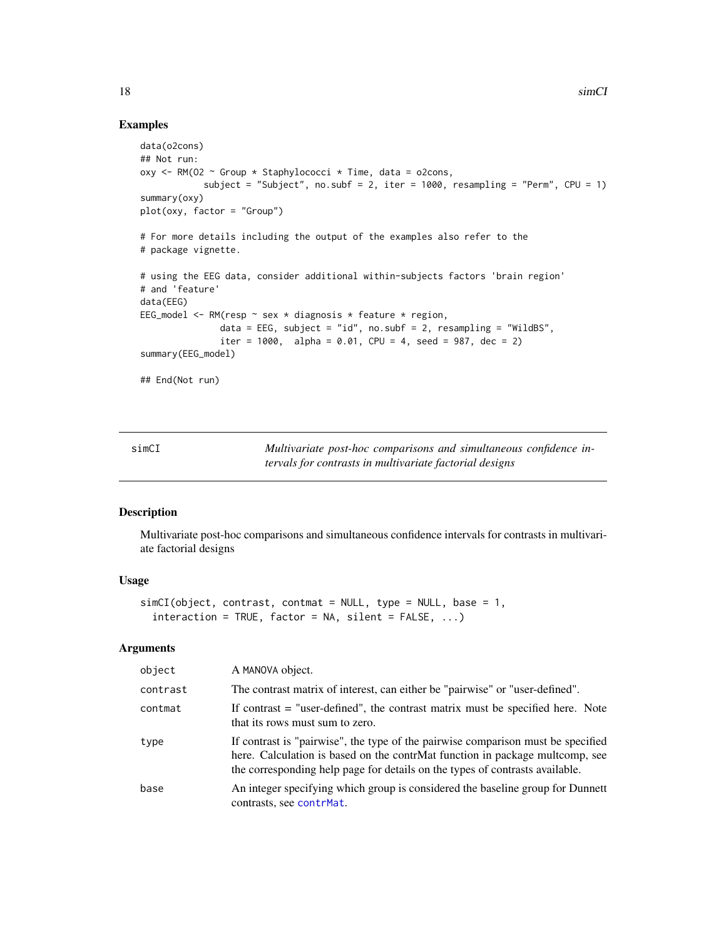# Examples

```
data(o2cons)
## Not run:
oxy \leq RM(02 \leq Group \star Staphylococci \star Time, data = o2cons,
            subject = "Subject", no.subf = 2, iter = 1000, resampling = "Perm", CPU = 1)summary(oxy)
plot(oxy, factor = "Group")
# For more details including the output of the examples also refer to the
# package vignette.
# using the EEG data, consider additional within-subjects factors 'brain region'
# and 'feature'
data(EEG)
EEG_model <- RM(resp ~ sex * diagnosis * feature * region,
               data = EEG, subject = "id", no.subf = 2, resampling = "WildBS",
               iter = 1000, alpha = 0.01, CPU = 4, seed = 987, dec = 2)
summary(EEG_model)
## End(Not run)
```
simCI *Multivariate post-hoc comparisons and simultaneous confidence intervals for contrasts in multivariate factorial designs*

#### Description

Multivariate post-hoc comparisons and simultaneous confidence intervals for contrasts in multivariate factorial designs

#### Usage

```
simCI(object, contrast, content = NULL, type = NULL, base = 1,interaction = TRUE, factor = NA, silent = FALSE, ...)
```

| object   | A MANOVA object.                                                                                                                                                                                                                                 |
|----------|--------------------------------------------------------------------------------------------------------------------------------------------------------------------------------------------------------------------------------------------------|
| contrast | The contrast matrix of interest, can either be "pairwise" or "user-defined".                                                                                                                                                                     |
| contmat  | If contrast = "user-defined", the contrast matrix must be specified here. Note<br>that its rows must sum to zero.                                                                                                                                |
| type     | If contrast is "pairwise", the type of the pairwise comparison must be specified<br>here. Calculation is based on the contrMat function in package multcomp, see<br>the corresponding help page for details on the types of contrasts available. |
| base     | An integer specifying which group is considered the baseline group for Dunnett<br>contrasts, see contrMat.                                                                                                                                       |

<span id="page-17-0"></span>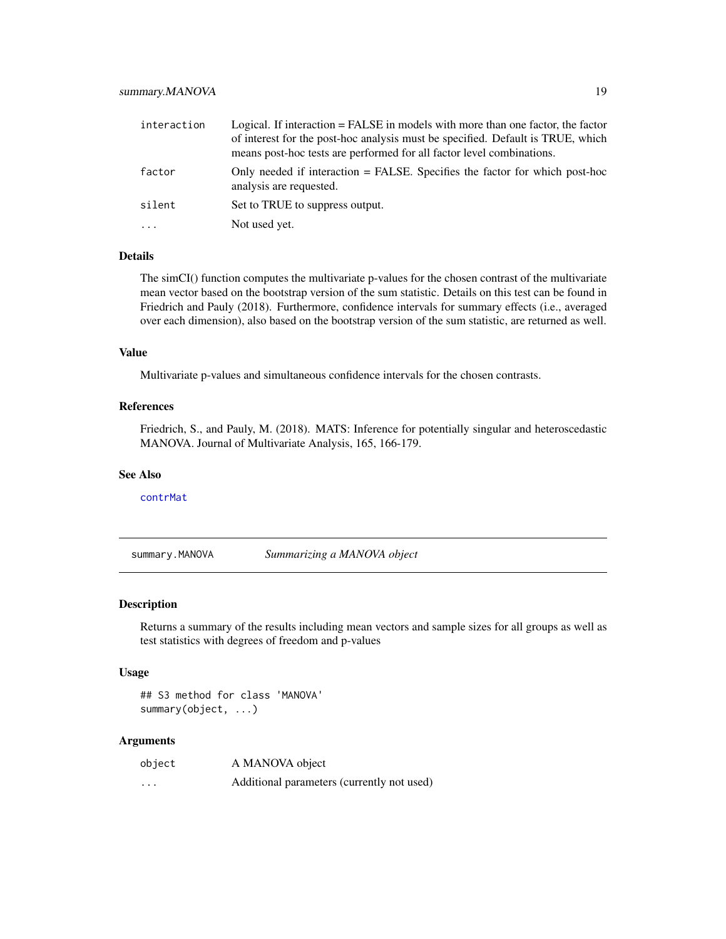<span id="page-18-0"></span>

| interaction | Logical. If interaction = FALSE in models with more than one factor, the factor<br>of interest for the post-hoc analysis must be specified. Default is TRUE, which<br>means post-hoc tests are performed for all factor level combinations. |
|-------------|---------------------------------------------------------------------------------------------------------------------------------------------------------------------------------------------------------------------------------------------|
| factor      | Only needed if interaction = FALSE. Specifies the factor for which post-hoc<br>analysis are requested.                                                                                                                                      |
| silent      | Set to TRUE to suppress output.                                                                                                                                                                                                             |
| $\cdots$    | Not used yet.                                                                                                                                                                                                                               |

# Details

The simCI() function computes the multivariate p-values for the chosen contrast of the multivariate mean vector based on the bootstrap version of the sum statistic. Details on this test can be found in Friedrich and Pauly (2018). Furthermore, confidence intervals for summary effects (i.e., averaged over each dimension), also based on the bootstrap version of the sum statistic, are returned as well.

#### Value

Multivariate p-values and simultaneous confidence intervals for the chosen contrasts.

#### References

Friedrich, S., and Pauly, M. (2018). MATS: Inference for potentially singular and heteroscedastic MANOVA. Journal of Multivariate Analysis, 165, 166-179.

#### See Also

[contrMat](#page-0-0)

summary.MANOVA *Summarizing a MANOVA object*

#### Description

Returns a summary of the results including mean vectors and sample sizes for all groups as well as test statistics with degrees of freedom and p-values

#### Usage

## S3 method for class 'MANOVA' summary(object, ...)

| object   | A MANOVA object                            |
|----------|--------------------------------------------|
| $\cdots$ | Additional parameters (currently not used) |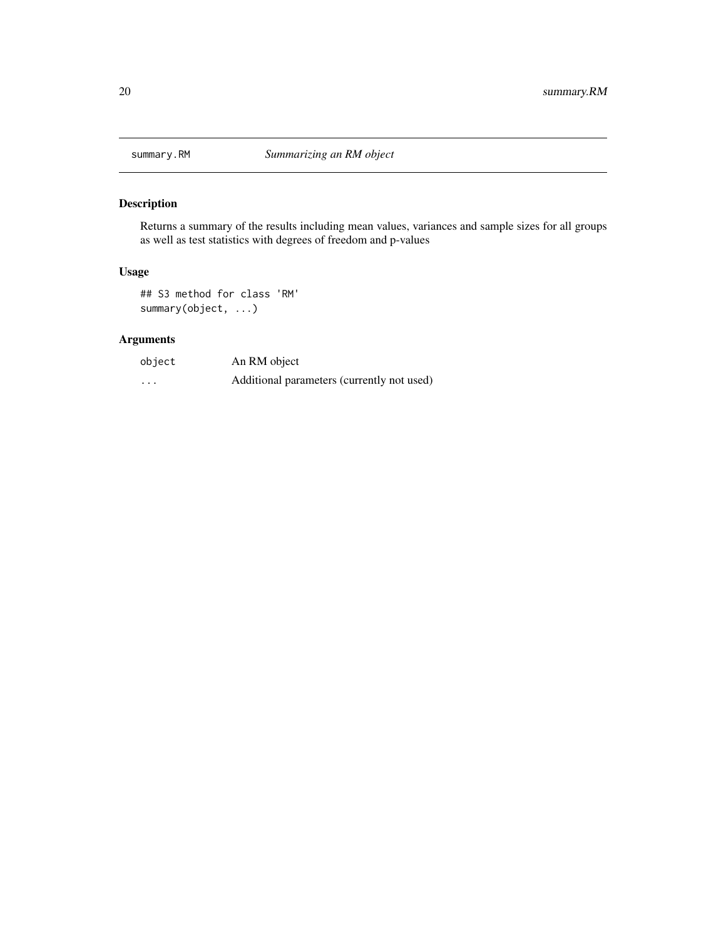<span id="page-19-0"></span>

Returns a summary of the results including mean values, variances and sample sizes for all groups as well as test statistics with degrees of freedom and p-values

# Usage

## S3 method for class 'RM' summary(object, ...)

| object | An RM object                               |
|--------|--------------------------------------------|
| .      | Additional parameters (currently not used) |